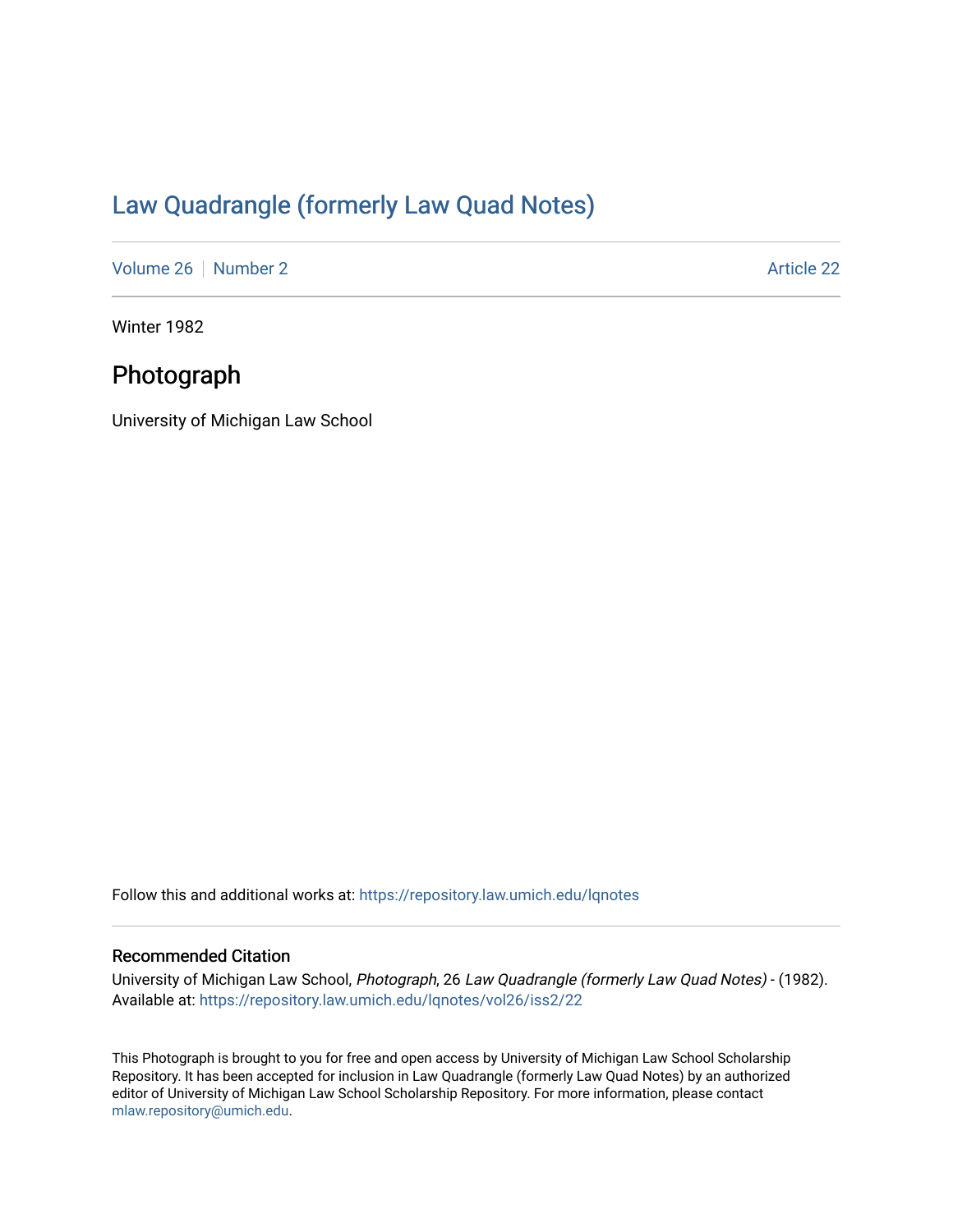## [Law Quadrangle \(formerly Law Quad Notes\)](https://repository.law.umich.edu/lqnotes)

[Volume 26](https://repository.law.umich.edu/lqnotes/vol26) [Number 2](https://repository.law.umich.edu/lqnotes/vol26/iss2) Article 22

Winter 1982

## Photograph

University of Michigan Law School

Follow this and additional works at: [https://repository.law.umich.edu/lqnotes](https://repository.law.umich.edu/lqnotes?utm_source=repository.law.umich.edu%2Flqnotes%2Fvol26%2Fiss2%2F22&utm_medium=PDF&utm_campaign=PDFCoverPages) 

## Recommended Citation

University of Michigan Law School, Photograph, 26 Law Quadrangle (formerly Law Quad Notes) - (1982). Available at: [https://repository.law.umich.edu/lqnotes/vol26/iss2/22](https://repository.law.umich.edu/lqnotes/vol26/iss2/22?utm_source=repository.law.umich.edu%2Flqnotes%2Fvol26%2Fiss2%2F22&utm_medium=PDF&utm_campaign=PDFCoverPages)

This Photograph is brought to you for free and open access by University of Michigan Law School Scholarship Repository. It has been accepted for inclusion in Law Quadrangle (formerly Law Quad Notes) by an authorized editor of University of Michigan Law School Scholarship Repository. For more information, please contact [mlaw.repository@umich.edu.](mailto:mlaw.repository@umich.edu)